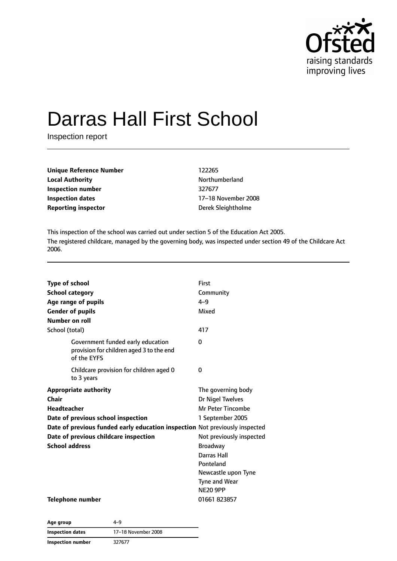

# Darras Hall First School

Inspection report

| <b>Unique Reference Number</b> | 122265             |
|--------------------------------|--------------------|
| <b>Local Authority</b>         | Northumberland     |
| Inspection number              | 327677             |
| Inspection dates               | 17-18 November 20  |
| <b>Reporting inspector</b>     | Derek Sleightholme |

**Unique Reference Number** 122265 **Local Authority** Northumberland **Inspection dates** 17–18 November 2008

This inspection of the school was carried out under section 5 of the Education Act 2005. The registered childcare, managed by the governing body, was inspected under section 49 of the Childcare Act 2006.

| <b>Type of school</b><br><b>School category</b><br>Age range of pupils<br><b>Gender of pupils</b><br>Number on roll                                                                                                                                | First<br>Community<br>$4 - 9$<br>Mixed                                                                                                                                                                                |
|----------------------------------------------------------------------------------------------------------------------------------------------------------------------------------------------------------------------------------------------------|-----------------------------------------------------------------------------------------------------------------------------------------------------------------------------------------------------------------------|
| School (total)                                                                                                                                                                                                                                     | 417                                                                                                                                                                                                                   |
| Government funded early education<br>provision for children aged 3 to the end<br>of the EYFS                                                                                                                                                       | $\Omega$                                                                                                                                                                                                              |
| Childcare provision for children aged 0<br>to 3 years                                                                                                                                                                                              | $\Omega$                                                                                                                                                                                                              |
| <b>Appropriate authority</b><br>Chair<br><b>Headteacher</b><br>Date of previous school inspection<br>Date of previous funded early education inspection Not previously inspected<br>Date of previous childcare inspection<br><b>School address</b> | The governing body<br>Dr Nigel Twelves<br>Mr Peter Tincombe<br>1 September 2005<br>Not previously inspected<br><b>Broadway</b><br>Darras Hall<br>Ponteland<br>Newcastle upon Tyne<br>Tyne and Wear<br><b>NE20 9PP</b> |
| Telephone number                                                                                                                                                                                                                                   | 01661 823857                                                                                                                                                                                                          |

| Age group               | 4-9                 |
|-------------------------|---------------------|
| <b>Inspection dates</b> | 17-18 November 2008 |
| Inspection number       | 327677              |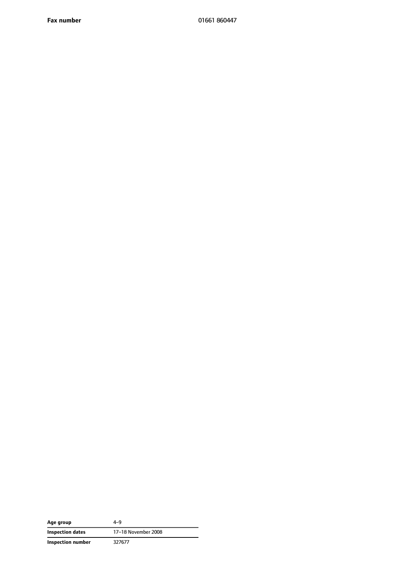**Fax number** 01661 860447

| Age group         | 4–9                 |
|-------------------|---------------------|
| Inspection dates  | 17-18 November 2008 |
| Inspection number | 327677              |

 $\overline{\phantom{a}}$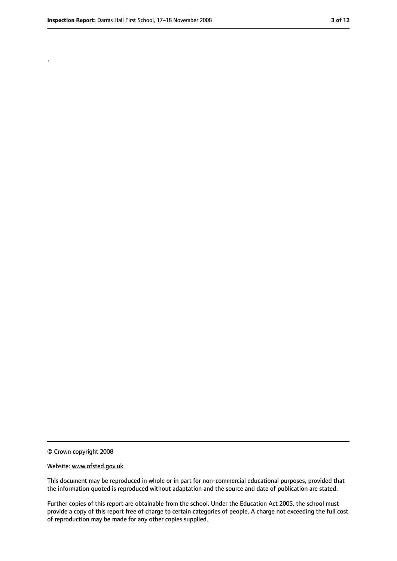.

<sup>©</sup> Crown copyright 2008

Website: www.ofsted.gov.uk

This document may be reproduced in whole or in part for non-commercial educational purposes, provided that the information quoted is reproduced without adaptation and the source and date of publication are stated.

Further copies of this report are obtainable from the school. Under the Education Act 2005, the school must provide a copy of this report free of charge to certain categories of people. A charge not exceeding the full cost of reproduction may be made for any other copies supplied.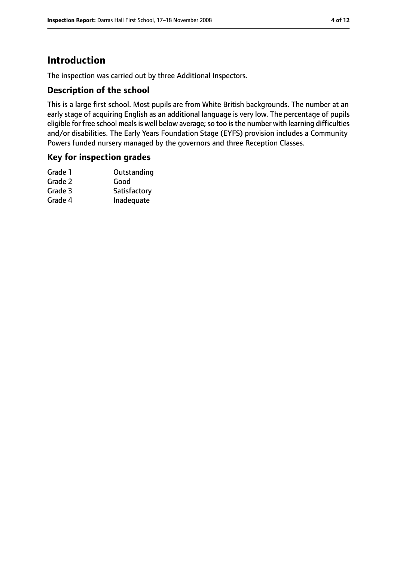# **Introduction**

The inspection was carried out by three Additional Inspectors.

#### **Description of the school**

This is a large first school. Most pupils are from White British backgrounds. The number at an early stage of acquiring English as an additional language is very low. The percentage of pupils eligible for free school meals is well below average; so too is the number with learning difficulties and/or disabilities. The Early Years Foundation Stage (EYFS) provision includes a Community Powers funded nursery managed by the governors and three Reception Classes.

#### **Key for inspection grades**

| Grade 1 | Outstanding  |
|---------|--------------|
| Grade 2 | Good         |
| Grade 3 | Satisfactory |
| Grade 4 | Inadequate   |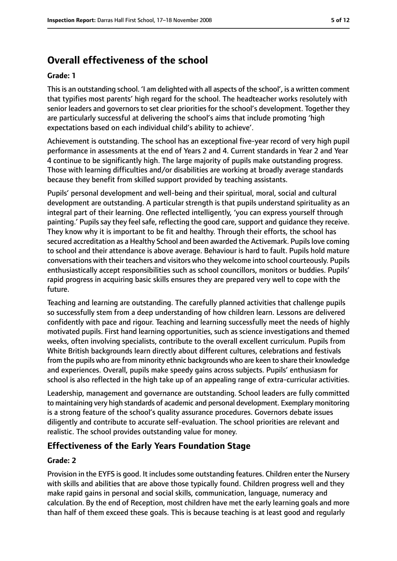# **Overall effectiveness of the school**

#### **Grade: 1**

Thisis an outstanding school. 'I am delighted with all aspects of the school', is a written comment that typifies most parents' high regard for the school. The headteacher works resolutely with senior leaders and governors to set clear priorities for the school's development. Together they are particularly successful at delivering the school's aims that include promoting 'high expectations based on each individual child's ability to achieve'.

Achievement is outstanding. The school has an exceptional five-year record of very high pupil performance in assessments at the end of Years 2 and 4. Current standards in Year 2 and Year 4 continue to be significantly high. The large majority of pupils make outstanding progress. Those with learning difficulties and/or disabilities are working at broadly average standards because they benefit from skilled support provided by teaching assistants.

Pupils' personal development and well-being and their spiritual, moral, social and cultural development are outstanding. A particular strength is that pupils understand spirituality as an integral part of their learning. One reflected intelligently, 'you can express yourself through painting.' Pupils say they feel safe, reflecting the good care, support and guidance they receive. They know why it is important to be fit and healthy. Through their efforts, the school has secured accreditation as a Healthy School and been awarded the Activemark. Pupils love coming to school and their attendance is above average. Behaviour is hard to fault. Pupils hold mature conversations with their teachers and visitors who they welcome into school courteously. Pupils enthusiastically accept responsibilities such as school councillors, monitors or buddies. Pupils' rapid progress in acquiring basic skills ensures they are prepared very well to cope with the future.

Teaching and learning are outstanding. The carefully planned activities that challenge pupils so successfully stem from a deep understanding of how children learn. Lessons are delivered confidently with pace and rigour. Teaching and learning successfully meet the needs of highly motivated pupils. First hand learning opportunities, such as science investigations and themed weeks, often involving specialists, contribute to the overall excellent curriculum. Pupils from White British backgrounds learn directly about different cultures, celebrations and festivals from the pupils who are from minority ethnic backgrounds who are keen to share their knowledge and experiences. Overall, pupils make speedy gains across subjects. Pupils' enthusiasm for school is also reflected in the high take up of an appealing range of extra-curricular activities.

Leadership, management and governance are outstanding. School leaders are fully committed to maintaining very high standards of academic and personal development. Exemplary monitoring is a strong feature of the school's quality assurance procedures. Governors debate issues diligently and contribute to accurate self-evaluation. The school priorities are relevant and realistic. The school provides outstanding value for money.

#### **Effectiveness of the Early Years Foundation Stage**

#### **Grade: 2**

Provision in the EYFS is good. It includes some outstanding features. Children enter the Nursery with skills and abilities that are above those typically found. Children progress well and they make rapid gains in personal and social skills, communication, language, numeracy and calculation. By the end of Reception, most children have met the early learning goals and more than half of them exceed these goals. This is because teaching is at least good and regularly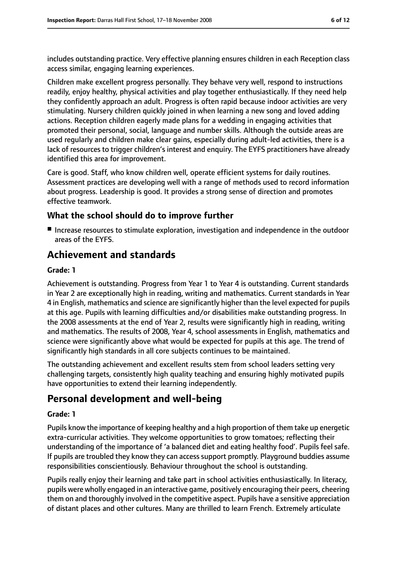includes outstanding practice. Very effective planning ensures children in each Reception class access similar, engaging learning experiences.

Children make excellent progress personally. They behave very well, respond to instructions readily, enjoy healthy, physical activities and play together enthusiastically. If they need help they confidently approach an adult. Progress is often rapid because indoor activities are very stimulating. Nursery children quickly joined in when learning a new song and loved adding actions. Reception children eagerly made plans for a wedding in engaging activities that promoted their personal, social, language and number skills. Although the outside areas are used regularly and children make clear gains, especially during adult-led activities, there is a lack of resources to trigger children's interest and enquiry. The EYFS practitioners have already identified this area for improvement.

Care is good. Staff, who know children well, operate efficient systems for daily routines. Assessment practices are developing well with a range of methods used to record information about progress. Leadership is good. It provides a strong sense of direction and promotes effective teamwork.

#### **What the school should do to improve further**

■ Increase resources to stimulate exploration, investigation and independence in the outdoor areas of the EYFS.

# **Achievement and standards**

#### **Grade: 1**

Achievement is outstanding. Progress from Year 1 to Year 4 is outstanding. Current standards in Year 2 are exceptionally high in reading, writing and mathematics. Current standards in Year 4 in English, mathematics and science are significantly higher than the level expected for pupils at this age. Pupils with learning difficulties and/or disabilities make outstanding progress. In the 2008 assessments at the end of Year 2, results were significantly high in reading, writing and mathematics. The results of 2008, Year 4, school assessments in English, mathematics and science were significantly above what would be expected for pupils at this age. The trend of significantly high standards in all core subjects continues to be maintained.

The outstanding achievement and excellent results stem from school leaders setting very challenging targets, consistently high quality teaching and ensuring highly motivated pupils have opportunities to extend their learning independently.

# **Personal development and well-being**

#### **Grade: 1**

Pupils know the importance of keeping healthy and a high proportion of them take up energetic extra-curricular activities. They welcome opportunities to grow tomatoes; reflecting their understanding of the importance of 'a balanced diet and eating healthy food'. Pupils feel safe. If pupils are troubled they know they can access support promptly. Playground buddies assume responsibilities conscientiously. Behaviour throughout the school is outstanding.

Pupils really enjoy their learning and take part in school activities enthusiastically. In literacy, pupils were wholly engaged in an interactive game, positively encouraging their peers, cheering them on and thoroughly involved in the competitive aspect. Pupils have a sensitive appreciation of distant places and other cultures. Many are thrilled to learn French. Extremely articulate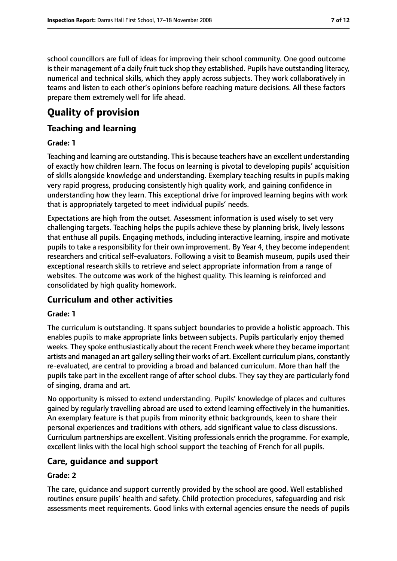school councillors are full of ideas for improving their school community. One good outcome is their management of a daily fruit tuck shop they established. Pupils have outstanding literacy, numerical and technical skills, which they apply across subjects. They work collaboratively in teams and listen to each other's opinions before reaching mature decisions. All these factors prepare them extremely well for life ahead.

# **Quality of provision**

#### **Teaching and learning**

#### **Grade: 1**

Teaching and learning are outstanding. Thisis because teachers have an excellent understanding of exactly how children learn. The focus on learning is pivotal to developing pupils' acquisition of skills alongside knowledge and understanding. Exemplary teaching results in pupils making very rapid progress, producing consistently high quality work, and gaining confidence in understanding how they learn. This exceptional drive for improved learning begins with work that is appropriately targeted to meet individual pupils' needs.

Expectations are high from the outset. Assessment information is used wisely to set very challenging targets. Teaching helps the pupils achieve these by planning brisk, lively lessons that enthuse all pupils. Engaging methods, including interactive learning, inspire and motivate pupils to take a responsibility for their own improvement. By Year 4, they become independent researchers and critical self-evaluators. Following a visit to Beamish museum, pupils used their exceptional research skills to retrieve and select appropriate information from a range of websites. The outcome was work of the highest quality. This learning is reinforced and consolidated by high quality homework.

#### **Curriculum and other activities**

#### **Grade: 1**

The curriculum is outstanding. It spans subject boundaries to provide a holistic approach. This enables pupils to make appropriate links between subjects. Pupils particularly enjoy themed weeks. They spoke enthusiastically about the recent French week where they became important artists and managed an art gallery selling their works of art. Excellent curriculum plans, constantly re-evaluated, are central to providing a broad and balanced curriculum. More than half the pupils take part in the excellent range of after school clubs. They say they are particularly fond of singing, drama and art.

No opportunity is missed to extend understanding. Pupils' knowledge of places and cultures gained by regularly travelling abroad are used to extend learning effectively in the humanities. An exemplary feature is that pupils from minority ethnic backgrounds, keen to share their personal experiences and traditions with others, add significant value to class discussions. Curriculum partnerships are excellent. Visiting professionals enrich the programme. For example, excellent links with the local high school support the teaching of French for all pupils.

#### **Care, guidance and support**

#### **Grade: 2**

The care, guidance and support currently provided by the school are good. Well established routines ensure pupils' health and safety. Child protection procedures, safeguarding and risk assessments meet requirements. Good links with external agencies ensure the needs of pupils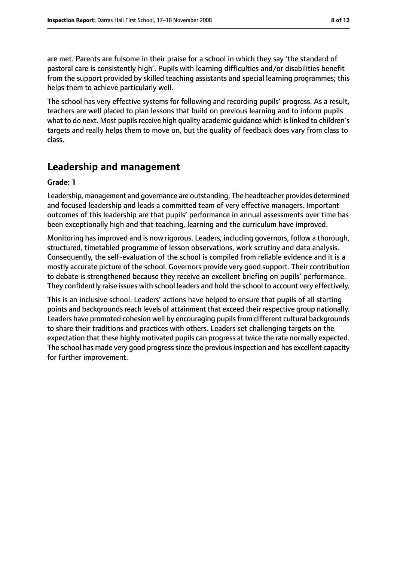are met. Parents are fulsome in their praise for a school in which they say 'the standard of pastoral care is consistently high'. Pupils with learning difficulties and/or disabilities benefit from the support provided by skilled teaching assistants and special learning programmes; this helps them to achieve particularly well.

The school has very effective systems for following and recording pupils' progress. As a result, teachers are well placed to plan lessons that build on previous learning and to inform pupils what to do next. Most pupils receive high quality academic quidance which is linked to children's targets and really helps them to move on, but the quality of feedback does vary from class to class.

### **Leadership and management**

#### **Grade: 1**

Leadership, management and governance are outstanding. The headteacher provides determined and focused leadership and leads a committed team of very effective managers. Important outcomes of this leadership are that pupils' performance in annual assessments over time has been exceptionally high and that teaching, learning and the curriculum have improved.

Monitoring has improved and is now rigorous. Leaders, including governors, follow a thorough, structured, timetabled programme of lesson observations, work scrutiny and data analysis. Consequently, the self-evaluation of the school is compiled from reliable evidence and it is a mostly accurate picture of the school. Governors provide very good support. Their contribution to debate is strengthened because they receive an excellent briefing on pupils' performance. They confidently raise issues with school leaders and hold the school to account very effectively.

This is an inclusive school. Leaders' actions have helped to ensure that pupils of all starting points and backgrounds reach levels of attainment that exceed their respective group nationally. Leaders have promoted cohesion well by encouraging pupils from different cultural backgrounds to share their traditions and practices with others. Leaders set challenging targets on the expectation that these highly motivated pupils can progress at twice the rate normally expected. The school has made very good progress since the previous inspection and has excellent capacity for further improvement.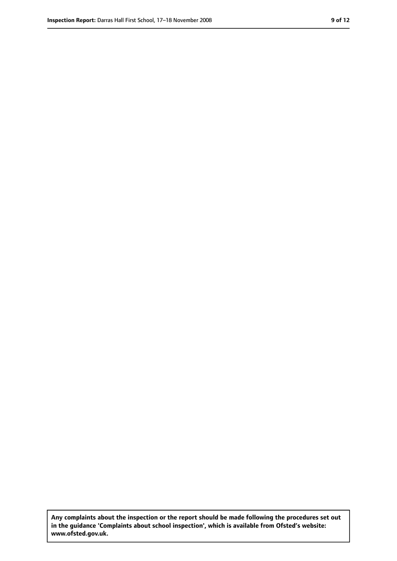**Any complaints about the inspection or the report should be made following the procedures set out in the guidance 'Complaints about school inspection', which is available from Ofsted's website: www.ofsted.gov.uk.**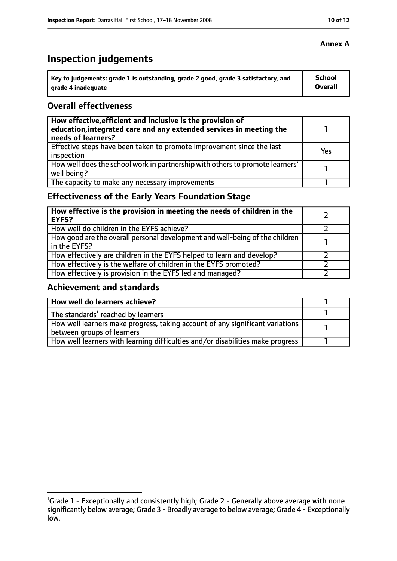# **Inspection judgements**

| Key to judgements: grade 1 is outstanding, grade 2 good, grade 3 satisfactory, and | School  |
|------------------------------------------------------------------------------------|---------|
| arade 4 inadequate                                                                 | Overall |

#### **Overall effectiveness**

| How effective, efficient and inclusive is the provision of<br>education, integrated care and any extended services in meeting the<br>needs of learners? |     |
|---------------------------------------------------------------------------------------------------------------------------------------------------------|-----|
| Effective steps have been taken to promote improvement since the last<br>inspection                                                                     | Yes |
| How well does the school work in partnership with others to promote learners'<br>well being?                                                            |     |
| The capacity to make any necessary improvements                                                                                                         |     |

### **Effectiveness of the Early Years Foundation Stage**

| How effective is the provision in meeting the needs of children in the<br><b>EYFS?</b>       |  |
|----------------------------------------------------------------------------------------------|--|
| How well do children in the EYFS achieve?                                                    |  |
| How good are the overall personal development and well-being of the children<br>in the EYFS? |  |
| How effectively are children in the EYFS helped to learn and develop?                        |  |
| How effectively is the welfare of children in the EYFS promoted?                             |  |
| How effectively is provision in the EYFS led and managed?                                    |  |

#### **Achievement and standards**

| How well do learners achieve?                                                               |  |
|---------------------------------------------------------------------------------------------|--|
| $\vert$ The standards <sup>1</sup> reached by learners                                      |  |
| $\mid$ How well learners make progress, taking account of any significant variations $\mid$ |  |
| between groups of learners                                                                  |  |
| How well learners with learning difficulties and/or disabilities make progress              |  |

#### **Annex A**

<sup>&</sup>lt;sup>1</sup>Grade 1 - Exceptionally and consistently high; Grade 2 - Generally above average with none significantly below average; Grade 3 - Broadly average to below average; Grade 4 - Exceptionally low.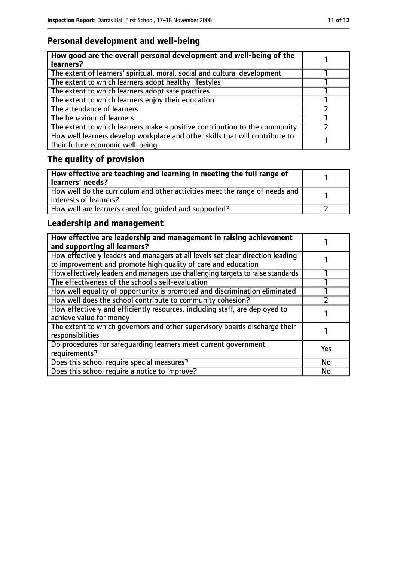### **Personal development and well-being**

| How good are the overall personal development and well-being of the<br>learners?                                 |  |
|------------------------------------------------------------------------------------------------------------------|--|
| The extent of learners' spiritual, moral, social and cultural development                                        |  |
| The extent to which learners adopt healthy lifestyles                                                            |  |
| The extent to which learners adopt safe practices                                                                |  |
| The extent to which learners enjoy their education                                                               |  |
| The attendance of learners                                                                                       |  |
| The behaviour of learners                                                                                        |  |
| The extent to which learners make a positive contribution to the community                                       |  |
| How well learners develop workplace and other skills that will contribute to<br>their future economic well-being |  |

# **The quality of provision**

| How effective are teaching and learning in meeting the full range of<br>learners' needs?                |  |
|---------------------------------------------------------------------------------------------------------|--|
| How well do the curriculum and other activities meet the range of needs and<br>  interests of learners? |  |
| How well are learners cared for, quided and supported?                                                  |  |

### **Leadership and management**

| How effective are leadership and management in raising achievement<br>and supporting all learners?                                              |           |
|-------------------------------------------------------------------------------------------------------------------------------------------------|-----------|
| How effectively leaders and managers at all levels set clear direction leading<br>to improvement and promote high quality of care and education |           |
| How effectively leaders and managers use challenging targets to raise standards                                                                 |           |
| The effectiveness of the school's self-evaluation                                                                                               |           |
| How well equality of opportunity is promoted and discrimination eliminated                                                                      |           |
| How well does the school contribute to community cohesion?                                                                                      |           |
| How effectively and efficiently resources, including staff, are deployed to<br>achieve value for money                                          |           |
| The extent to which governors and other supervisory boards discharge their<br>responsibilities                                                  |           |
| Do procedures for safeguarding learners meet current government<br>requirements?                                                                | Yes       |
| Does this school require special measures?                                                                                                      | <b>No</b> |
| Does this school require a notice to improve?                                                                                                   | No        |